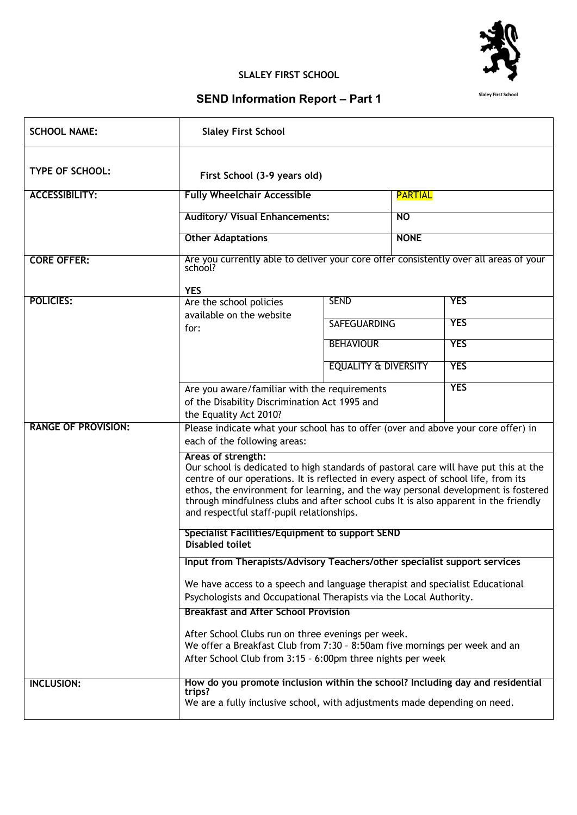

## **SLALEY FIRST SCHOOL**

## **SEND Information Report – Part 1**

| <b>SCHOOL NAME:</b>        | <b>Slaley First School</b>                                                                                                                                                                                                                                                                                                                                                                                                |                                 |                |            |  |
|----------------------------|---------------------------------------------------------------------------------------------------------------------------------------------------------------------------------------------------------------------------------------------------------------------------------------------------------------------------------------------------------------------------------------------------------------------------|---------------------------------|----------------|------------|--|
| <b>TYPE OF SCHOOL:</b>     | First School (3-9 years old)                                                                                                                                                                                                                                                                                                                                                                                              |                                 |                |            |  |
| <b>ACCESSIBILITY:</b>      | <b>Fully Wheelchair Accessible</b><br><b>Auditory/ Visual Enhancements:</b><br><b>NO</b>                                                                                                                                                                                                                                                                                                                                  |                                 | <b>PARTIAL</b> |            |  |
|                            |                                                                                                                                                                                                                                                                                                                                                                                                                           |                                 |                |            |  |
|                            | <b>Other Adaptations</b>                                                                                                                                                                                                                                                                                                                                                                                                  |                                 | <b>NONE</b>    |            |  |
| <b>CORE OFFER:</b>         | Are you currently able to deliver your core offer consistently over all areas of your<br>school?<br><b>YES</b>                                                                                                                                                                                                                                                                                                            |                                 |                |            |  |
| <b>POLICIES:</b>           | Are the school policies                                                                                                                                                                                                                                                                                                                                                                                                   | <b>SEND</b>                     |                | <b>YES</b> |  |
|                            | available on the website<br>for:                                                                                                                                                                                                                                                                                                                                                                                          | <b>SAFEGUARDING</b>             |                | <b>YES</b> |  |
|                            |                                                                                                                                                                                                                                                                                                                                                                                                                           | <b>BEHAVIOUR</b>                |                | <b>YES</b> |  |
|                            |                                                                                                                                                                                                                                                                                                                                                                                                                           | <b>EQUALITY &amp; DIVERSITY</b> |                | <b>YES</b> |  |
|                            | <b>YES</b><br>Are you aware/familiar with the requirements<br>of the Disability Discrimination Act 1995 and<br>the Equality Act 2010?                                                                                                                                                                                                                                                                                     |                                 |                |            |  |
| <b>RANGE OF PROVISION:</b> | Please indicate what your school has to offer (over and above your core offer) in<br>each of the following areas:                                                                                                                                                                                                                                                                                                         |                                 |                |            |  |
|                            | Areas of strength:<br>Our school is dedicated to high standards of pastoral care will have put this at the<br>centre of our operations. It is reflected in every aspect of school life, from its<br>ethos, the environment for learning, and the way personal development is fostered<br>through mindfulness clubs and after school cubs It is also apparent in the friendly<br>and respectful staff-pupil relationships. |                                 |                |            |  |
|                            | Specialist Facilities/Equipment to support SEND<br><b>Disabled toilet</b>                                                                                                                                                                                                                                                                                                                                                 |                                 |                |            |  |
|                            | Input from Therapists/Advisory Teachers/other specialist support services                                                                                                                                                                                                                                                                                                                                                 |                                 |                |            |  |
|                            | We have access to a speech and language therapist and specialist Educational<br>Psychologists and Occupational Therapists via the Local Authority.                                                                                                                                                                                                                                                                        |                                 |                |            |  |
|                            | <b>Breakfast and After School Provision</b>                                                                                                                                                                                                                                                                                                                                                                               |                                 |                |            |  |
|                            | After School Clubs run on three evenings per week.<br>We offer a Breakfast Club from 7:30 - 8:50am five mornings per week and an                                                                                                                                                                                                                                                                                          |                                 |                |            |  |
|                            | After School Club from 3:15 - 6:00pm three nights per week                                                                                                                                                                                                                                                                                                                                                                |                                 |                |            |  |
| <b>INCLUSION:</b>          | How do you promote inclusion within the school? Including day and residential<br>trips?<br>We are a fully inclusive school, with adjustments made depending on need.                                                                                                                                                                                                                                                      |                                 |                |            |  |